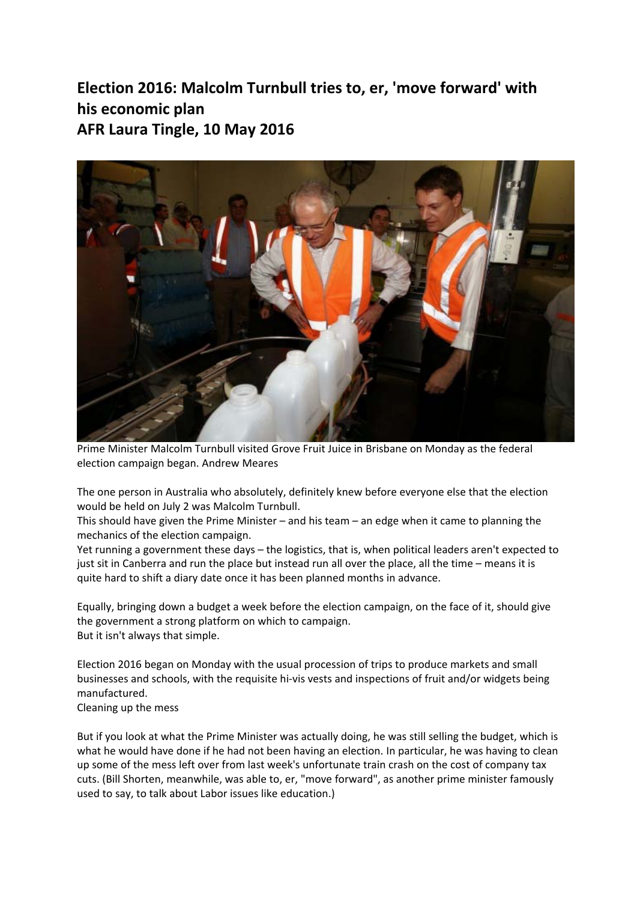**Election 2016: Malcolm Turnbull tries to, er, 'move forward' with his economic plan AFR Laura Tingle, 10 May 2016** 



Prime Minister Malcolm Turnbull visited Grove Fruit Juice in Brisbane on Monday as the federal election campaign began. Andrew Meares

The one person in Australia who absolutely, definitely knew before everyone else that the election would be held on July 2 was Malcolm Turnbull.

This should have given the Prime Minister – and his team – an edge when it came to planning the mechanics of the election campaign.

Yet running a government these days – the logistics, that is, when political leaders aren't expected to just sit in Canberra and run the place but instead run all over the place, all the time – means it is quite hard to shift a diary date once it has been planned months in advance.

Equally, bringing down a budget a week before the election campaign, on the face of it, should give the government a strong platform on which to campaign. But it isn't always that simple.

Election 2016 began on Monday with the usual procession of trips to produce markets and small businesses and schools, with the requisite hi‐vis vests and inspections of fruit and/or widgets being manufactured. Cleaning up the mess

But if you look at what the Prime Minister was actually doing, he was still selling the budget, which is what he would have done if he had not been having an election. In particular, he was having to clean up some of the mess left over from last week's unfortunate train crash on the cost of company tax cuts. (Bill Shorten, meanwhile, was able to, er, "move forward", as another prime minister famously used to say, to talk about Labor issues like education.)